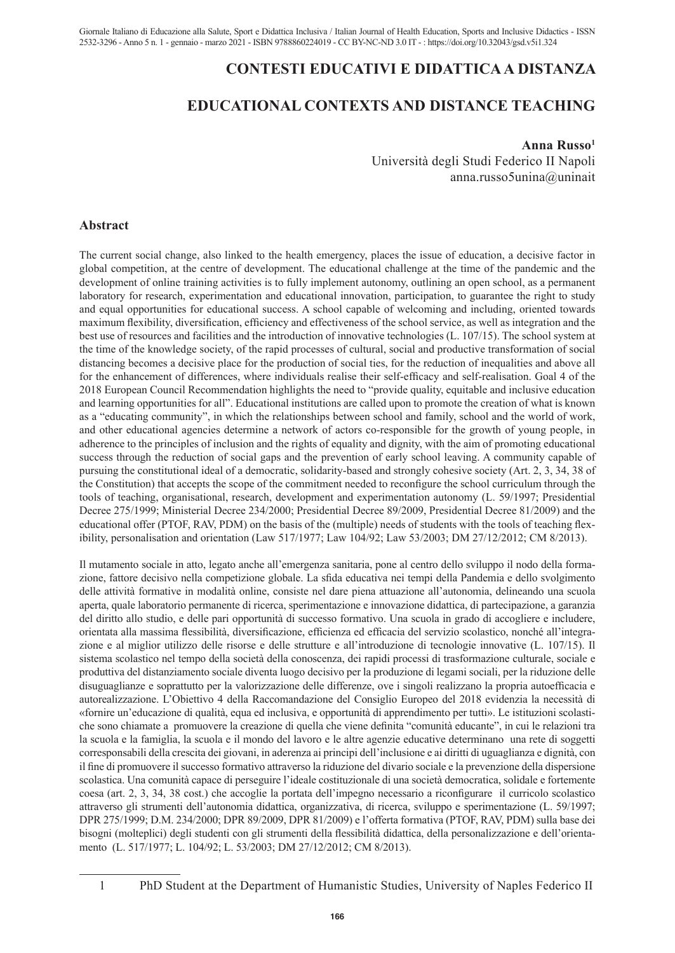## **CONTESTI EDUCATIVI E DIDATTICA A DISTANZA**

# **EDUCATIONAL CONTEXTS AND DISTANCE TEACHING**

#### **Anna Russo1**

Università degli Studi Federico II Napoli anna.russo5unina@uninait

## **Abstract**

The current social change, also linked to the health emergency, places the issue of education, a decisive factor in global competition, at the centre of development. The educational challenge at the time of the pandemic and the development of online training activities is to fully implement autonomy, outlining an open school, as a permanent laboratory for research, experimentation and educational innovation, participation, to guarantee the right to study and equal opportunities for educational success. A school capable of welcoming and including, oriented towards maximum flexibility, diversification, efficiency and effectiveness of the school service, as well as integration and the best use of resources and facilities and the introduction of innovative technologies (L. 107/15). The school system at the time of the knowledge society, of the rapid processes of cultural, social and productive transformation of social distancing becomes a decisive place for the production of social ties, for the reduction of inequalities and above all for the enhancement of differences, where individuals realise their self-efficacy and self-realisation. Goal 4 of the 2018 European Council Recommendation highlights the need to "provide quality, equitable and inclusive education and learning opportunities for all". Educational institutions are called upon to promote the creation of what is known as a "educating community", in which the relationships between school and family, school and the world of work, and other educational agencies determine a network of actors co-responsible for the growth of young people, in adherence to the principles of inclusion and the rights of equality and dignity, with the aim of promoting educational success through the reduction of social gaps and the prevention of early school leaving. A community capable of pursuing the constitutional ideal of a democratic, solidarity-based and strongly cohesive society (Art. 2, 3, 34, 38 of the Constitution) that accepts the scope of the commitment needed to reconfigure the school curriculum through the tools of teaching, organisational, research, development and experimentation autonomy (L. 59/1997; Presidential Decree 275/1999; Ministerial Decree 234/2000; Presidential Decree 89/2009, Presidential Decree 81/2009) and the educational offer (PTOF, RAV, PDM) on the basis of the (multiple) needs of students with the tools of teaching flexibility, personalisation and orientation (Law 517/1977; Law 104/92; Law 53/2003; DM 27/12/2012; CM 8/2013).

Il mutamento sociale in atto, legato anche all'emergenza sanitaria, pone al centro dello sviluppo il nodo della formazione, fattore decisivo nella competizione globale. La sfida educativa nei tempi della Pandemia e dello svolgimento delle attività formative in modalità online, consiste nel dare piena attuazione all'autonomia, delineando una scuola aperta, quale laboratorio permanente di ricerca, sperimentazione e innovazione didattica, di partecipazione, a garanzia del diritto allo studio, e delle pari opportunità di successo formativo. Una scuola in grado di accogliere e includere, orientata alla massima flessibilità, diversificazione, efficienza ed efficacia del servizio scolastico, nonché all'integrazione e al miglior utilizzo delle risorse e delle strutture e all'introduzione di tecnologie innovative (L. 107/15). Il sistema scolastico nel tempo della società della conoscenza, dei rapidi processi di trasformazione culturale, sociale e produttiva del distanziamento sociale diventa luogo decisivo per la produzione di legami sociali, per la riduzione delle disuguaglianze e soprattutto per la valorizzazione delle differenze, ove i singoli realizzano la propria autoefficacia e autorealizzazione. L'Obiettivo 4 della Raccomandazione del Consiglio Europeo del 2018 evidenzia la necessità di «fornire un'educazione di qualità, equa ed inclusiva, e opportunità di apprendimento per tutti». Le istituzioni scolastiche sono chiamate a promuovere la creazione di quella che viene definita "comunità educante", in cui le relazioni tra la scuola e la famiglia, la scuola e il mondo del lavoro e le altre agenzie educative determinano una rete di soggetti corresponsabili della crescita dei giovani, in aderenza ai principi dell'inclusione e ai diritti di uguaglianza e dignità, con il fine di promuovere il successo formativo attraverso la riduzione del divario sociale e la prevenzione della dispersione scolastica. Una comunità capace di perseguire l'ideale costituzionale di una società democratica, solidale e fortemente coesa (art. 2, 3, 34, 38 cost.) che accoglie la portata dell'impegno necessario a riconfigurare il curricolo scolastico attraverso gli strumenti dell'autonomia didattica, organizzativa, di ricerca, sviluppo e sperimentazione (L. 59/1997; DPR 275/1999; D.M. 234/2000; DPR 89/2009, DPR 81/2009) e l'offerta formativa (PTOF, RAV, PDM) sulla base dei bisogni (molteplici) degli studenti con gli strumenti della flessibilità didattica, della personalizzazione e dell'orientamento (L. 517/1977; L. 104/92; L. 53/2003; DM 27/12/2012; CM 8/2013).

<sup>1</sup> PhD Student at the Department of Humanistic Studies, University of Naples Federico II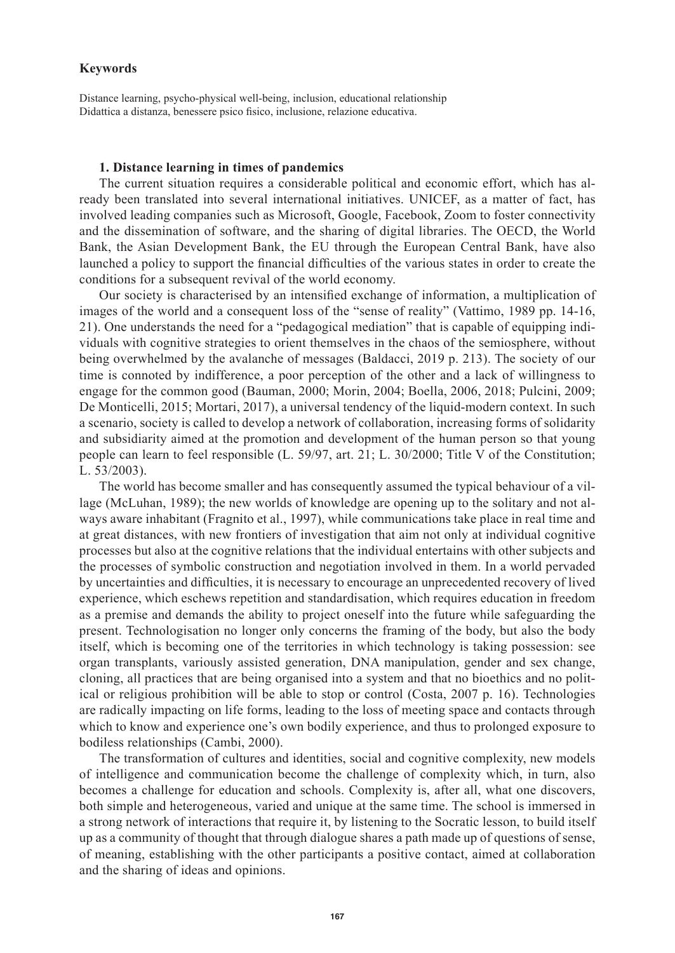## **Keywords**

Distance learning, psycho-physical well-being, inclusion, educational relationship Didattica a distanza, benessere psico fisico, inclusione, relazione educativa.

#### **1. Distance learning in times of pandemics**

The current situation requires a considerable political and economic effort, which has already been translated into several international initiatives. UNICEF, as a matter of fact, has involved leading companies such as Microsoft, Google, Facebook, Zoom to foster connectivity and the dissemination of software, and the sharing of digital libraries. The OECD, the World Bank, the Asian Development Bank, the EU through the European Central Bank, have also launched a policy to support the financial difficulties of the various states in order to create the conditions for a subsequent revival of the world economy.

Our society is characterised by an intensified exchange of information, a multiplication of images of the world and a consequent loss of the "sense of reality" (Vattimo, 1989 pp. 14-16, 21). One understands the need for a "pedagogical mediation" that is capable of equipping individuals with cognitive strategies to orient themselves in the chaos of the semiosphere, without being overwhelmed by the avalanche of messages (Baldacci, 2019 p. 213). The society of our time is connoted by indifference, a poor perception of the other and a lack of willingness to engage for the common good (Bauman, 2000; Morin, 2004; Boella, 2006, 2018; Pulcini, 2009; De Monticelli, 2015; Mortari, 2017), a universal tendency of the liquid-modern context. In such a scenario, society is called to develop a network of collaboration, increasing forms of solidarity and subsidiarity aimed at the promotion and development of the human person so that young people can learn to feel responsible (L. 59/97, art. 21; L. 30/2000; Title V of the Constitution; L. 53/2003).

The world has become smaller and has consequently assumed the typical behaviour of a village (McLuhan, 1989); the new worlds of knowledge are opening up to the solitary and not always aware inhabitant (Fragnito et al., 1997), while communications take place in real time and at great distances, with new frontiers of investigation that aim not only at individual cognitive processes but also at the cognitive relations that the individual entertains with other subjects and the processes of symbolic construction and negotiation involved in them. In a world pervaded by uncertainties and difficulties, it is necessary to encourage an unprecedented recovery of lived experience, which eschews repetition and standardisation, which requires education in freedom as a premise and demands the ability to project oneself into the future while safeguarding the present. Technologisation no longer only concerns the framing of the body, but also the body itself, which is becoming one of the territories in which technology is taking possession: see organ transplants, variously assisted generation, DNA manipulation, gender and sex change, cloning, all practices that are being organised into a system and that no bioethics and no political or religious prohibition will be able to stop or control (Costa, 2007 p. 16). Technologies are radically impacting on life forms, leading to the loss of meeting space and contacts through which to know and experience one's own bodily experience, and thus to prolonged exposure to bodiless relationships (Cambi, 2000).

The transformation of cultures and identities, social and cognitive complexity, new models of intelligence and communication become the challenge of complexity which, in turn, also becomes a challenge for education and schools. Complexity is, after all, what one discovers, both simple and heterogeneous, varied and unique at the same time. The school is immersed in a strong network of interactions that require it, by listening to the Socratic lesson, to build itself up as a community of thought that through dialogue shares a path made up of questions of sense, of meaning, establishing with the other participants a positive contact, aimed at collaboration and the sharing of ideas and opinions.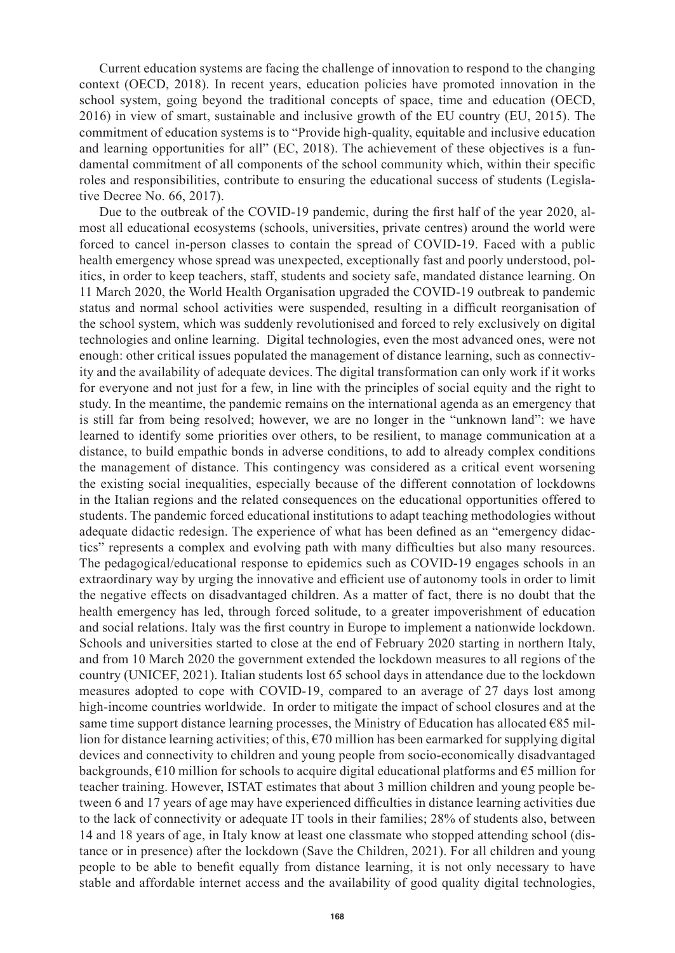Current education systems are facing the challenge of innovation to respond to the changing context (OECD, 2018). In recent years, education policies have promoted innovation in the school system, going beyond the traditional concepts of space, time and education (OECD, 2016) in view of smart, sustainable and inclusive growth of the EU country (EU, 2015). The commitment of education systems is to "Provide high-quality, equitable and inclusive education and learning opportunities for all" (EC, 2018). The achievement of these objectives is a fundamental commitment of all components of the school community which, within their specific roles and responsibilities, contribute to ensuring the educational success of students (Legislative Decree No. 66, 2017).

Due to the outbreak of the COVID-19 pandemic, during the first half of the year 2020, almost all educational ecosystems (schools, universities, private centres) around the world were forced to cancel in-person classes to contain the spread of COVID-19. Faced with a public health emergency whose spread was unexpected, exceptionally fast and poorly understood, politics, in order to keep teachers, staff, students and society safe, mandated distance learning. On 11 March 2020, the World Health Organisation upgraded the COVID-19 outbreak to pandemic status and normal school activities were suspended, resulting in a difficult reorganisation of the school system, which was suddenly revolutionised and forced to rely exclusively on digital technologies and online learning. Digital technologies, even the most advanced ones, were not enough: other critical issues populated the management of distance learning, such as connectivity and the availability of adequate devices. The digital transformation can only work if it works for everyone and not just for a few, in line with the principles of social equity and the right to study. In the meantime, the pandemic remains on the international agenda as an emergency that is still far from being resolved; however, we are no longer in the "unknown land": we have learned to identify some priorities over others, to be resilient, to manage communication at a distance, to build empathic bonds in adverse conditions, to add to already complex conditions the management of distance. This contingency was considered as a critical event worsening the existing social inequalities, especially because of the different connotation of lockdowns in the Italian regions and the related consequences on the educational opportunities offered to students. The pandemic forced educational institutions to adapt teaching methodologies without adequate didactic redesign. The experience of what has been defined as an "emergency didactics" represents a complex and evolving path with many difficulties but also many resources. The pedagogical/educational response to epidemics such as COVID-19 engages schools in an extraordinary way by urging the innovative and efficient use of autonomy tools in order to limit the negative effects on disadvantaged children. As a matter of fact, there is no doubt that the health emergency has led, through forced solitude, to a greater impoverishment of education and social relations. Italy was the first country in Europe to implement a nationwide lockdown. Schools and universities started to close at the end of February 2020 starting in northern Italy, and from 10 March 2020 the government extended the lockdown measures to all regions of the country (UNICEF, 2021). Italian students lost 65 school days in attendance due to the lockdown measures adopted to cope with COVID-19, compared to an average of 27 days lost among high-income countries worldwide. In order to mitigate the impact of school closures and at the same time support distance learning processes, the Ministry of Education has allocated  $\epsilon$ 85 million for distance learning activities; of this,  $\epsilon$ 70 million has been earmarked for supplying digital devices and connectivity to children and young people from socio-economically disadvantaged backgrounds,  $€10$  million for schools to acquire digital educational platforms and  $€5$  million for teacher training. However, ISTAT estimates that about 3 million children and young people between 6 and 17 years of age may have experienced difficulties in distance learning activities due to the lack of connectivity or adequate IT tools in their families; 28% of students also, between 14 and 18 years of age, in Italy know at least one classmate who stopped attending school (distance or in presence) after the lockdown (Save the Children, 2021). For all children and young people to be able to benefit equally from distance learning, it is not only necessary to have stable and affordable internet access and the availability of good quality digital technologies,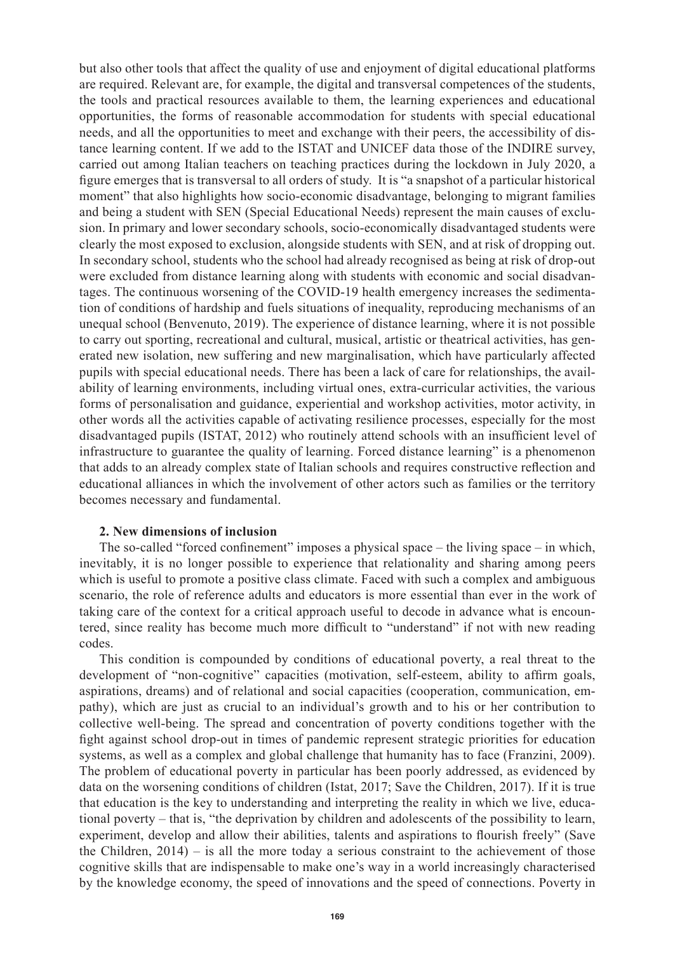but also other tools that affect the quality of use and enjoyment of digital educational platforms are required. Relevant are, for example, the digital and transversal competences of the students, the tools and practical resources available to them, the learning experiences and educational opportunities, the forms of reasonable accommodation for students with special educational needs, and all the opportunities to meet and exchange with their peers, the accessibility of distance learning content. If we add to the ISTAT and UNICEF data those of the INDIRE survey, carried out among Italian teachers on teaching practices during the lockdown in July 2020, a figure emerges that is transversal to all orders of study. It is "a snapshot of a particular historical moment" that also highlights how socio-economic disadvantage, belonging to migrant families and being a student with SEN (Special Educational Needs) represent the main causes of exclusion. In primary and lower secondary schools, socio-economically disadvantaged students were clearly the most exposed to exclusion, alongside students with SEN, and at risk of dropping out. In secondary school, students who the school had already recognised as being at risk of drop-out were excluded from distance learning along with students with economic and social disadvantages. The continuous worsening of the COVID-19 health emergency increases the sedimentation of conditions of hardship and fuels situations of inequality, reproducing mechanisms of an unequal school (Benvenuto, 2019). The experience of distance learning, where it is not possible to carry out sporting, recreational and cultural, musical, artistic or theatrical activities, has generated new isolation, new suffering and new marginalisation, which have particularly affected pupils with special educational needs. There has been a lack of care for relationships, the availability of learning environments, including virtual ones, extra-curricular activities, the various forms of personalisation and guidance, experiential and workshop activities, motor activity, in other words all the activities capable of activating resilience processes, especially for the most disadvantaged pupils (ISTAT, 2012) who routinely attend schools with an insufficient level of infrastructure to guarantee the quality of learning. Forced distance learning" is a phenomenon that adds to an already complex state of Italian schools and requires constructive reflection and educational alliances in which the involvement of other actors such as families or the territory becomes necessary and fundamental.

## **2. New dimensions of inclusion**

The so-called "forced confinement" imposes a physical space – the living space – in which, inevitably, it is no longer possible to experience that relationality and sharing among peers which is useful to promote a positive class climate. Faced with such a complex and ambiguous scenario, the role of reference adults and educators is more essential than ever in the work of taking care of the context for a critical approach useful to decode in advance what is encountered, since reality has become much more difficult to "understand" if not with new reading codes.

This condition is compounded by conditions of educational poverty, a real threat to the development of "non-cognitive" capacities (motivation, self-esteem, ability to affirm goals, aspirations, dreams) and of relational and social capacities (cooperation, communication, empathy), which are just as crucial to an individual's growth and to his or her contribution to collective well-being. The spread and concentration of poverty conditions together with the fight against school drop-out in times of pandemic represent strategic priorities for education systems, as well as a complex and global challenge that humanity has to face (Franzini, 2009). The problem of educational poverty in particular has been poorly addressed, as evidenced by data on the worsening conditions of children (Istat, 2017; Save the Children, 2017). If it is true that education is the key to understanding and interpreting the reality in which we live, educational poverty – that is, "the deprivation by children and adolescents of the possibility to learn, experiment, develop and allow their abilities, talents and aspirations to flourish freely" (Save the Children,  $2014$ ) – is all the more today a serious constraint to the achievement of those cognitive skills that are indispensable to make one's way in a world increasingly characterised by the knowledge economy, the speed of innovations and the speed of connections. Poverty in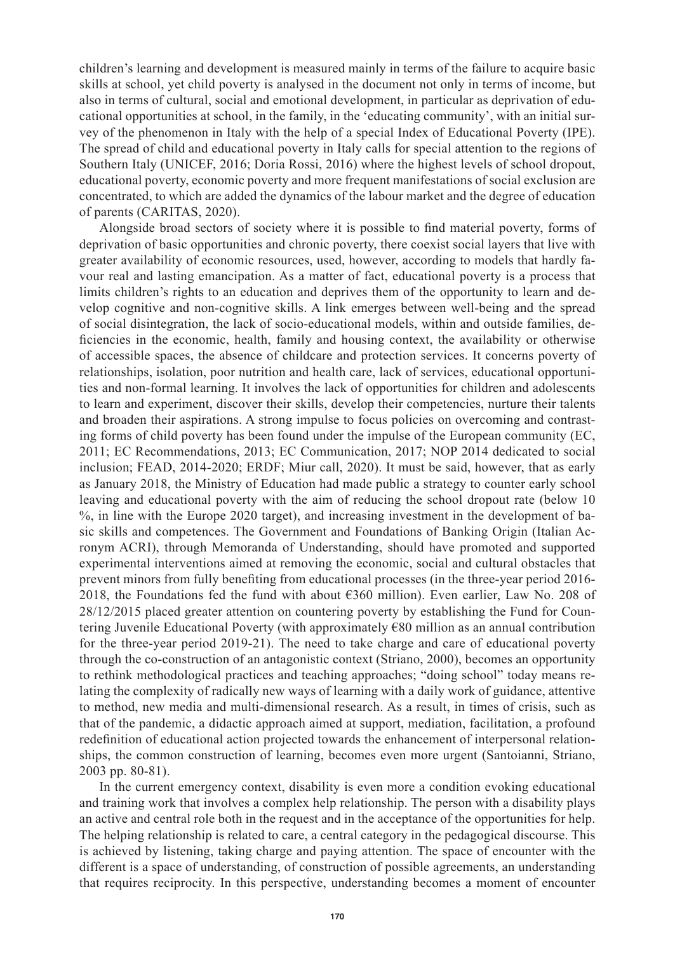children's learning and development is measured mainly in terms of the failure to acquire basic skills at school, yet child poverty is analysed in the document not only in terms of income, but also in terms of cultural, social and emotional development, in particular as deprivation of educational opportunities at school, in the family, in the 'educating community', with an initial survey of the phenomenon in Italy with the help of a special Index of Educational Poverty (IPE). The spread of child and educational poverty in Italy calls for special attention to the regions of Southern Italy (UNICEF, 2016; Doria Rossi, 2016) where the highest levels of school dropout, educational poverty, economic poverty and more frequent manifestations of social exclusion are concentrated, to which are added the dynamics of the labour market and the degree of education of parents (CARITAS, 2020).

Alongside broad sectors of society where it is possible to find material poverty, forms of deprivation of basic opportunities and chronic poverty, there coexist social layers that live with greater availability of economic resources, used, however, according to models that hardly favour real and lasting emancipation. As a matter of fact, educational poverty is a process that limits children's rights to an education and deprives them of the opportunity to learn and develop cognitive and non-cognitive skills. A link emerges between well-being and the spread of social disintegration, the lack of socio-educational models, within and outside families, deficiencies in the economic, health, family and housing context, the availability or otherwise of accessible spaces, the absence of childcare and protection services. It concerns poverty of relationships, isolation, poor nutrition and health care, lack of services, educational opportunities and non-formal learning. It involves the lack of opportunities for children and adolescents to learn and experiment, discover their skills, develop their competencies, nurture their talents and broaden their aspirations. A strong impulse to focus policies on overcoming and contrasting forms of child poverty has been found under the impulse of the European community (EC, 2011; EC Recommendations, 2013; EC Communication, 2017; NOP 2014 dedicated to social inclusion; FEAD, 2014-2020; ERDF; Miur call, 2020). It must be said, however, that as early as January 2018, the Ministry of Education had made public a strategy to counter early school leaving and educational poverty with the aim of reducing the school dropout rate (below 10 %, in line with the Europe 2020 target), and increasing investment in the development of basic skills and competences. The Government and Foundations of Banking Origin (Italian Acronym ACRI), through Memoranda of Understanding, should have promoted and supported experimental interventions aimed at removing the economic, social and cultural obstacles that prevent minors from fully benefiting from educational processes (in the three-year period 2016- 2018, the Foundations fed the fund with about €360 million). Even earlier, Law No. 208 of 28/12/2015 placed greater attention on countering poverty by establishing the Fund for Countering Juvenile Educational Poverty (with approximately €80 million as an annual contribution for the three-year period 2019-21). The need to take charge and care of educational poverty through the co-construction of an antagonistic context (Striano, 2000), becomes an opportunity to rethink methodological practices and teaching approaches; "doing school" today means relating the complexity of radically new ways of learning with a daily work of guidance, attentive to method, new media and multi-dimensional research. As a result, in times of crisis, such as that of the pandemic, a didactic approach aimed at support, mediation, facilitation, a profound redefinition of educational action projected towards the enhancement of interpersonal relationships, the common construction of learning, becomes even more urgent (Santoianni, Striano, 2003 pp. 80-81).

In the current emergency context, disability is even more a condition evoking educational and training work that involves a complex help relationship. The person with a disability plays an active and central role both in the request and in the acceptance of the opportunities for help. The helping relationship is related to care, a central category in the pedagogical discourse. This is achieved by listening, taking charge and paying attention. The space of encounter with the different is a space of understanding, of construction of possible agreements, an understanding that requires reciprocity. In this perspective, understanding becomes a moment of encounter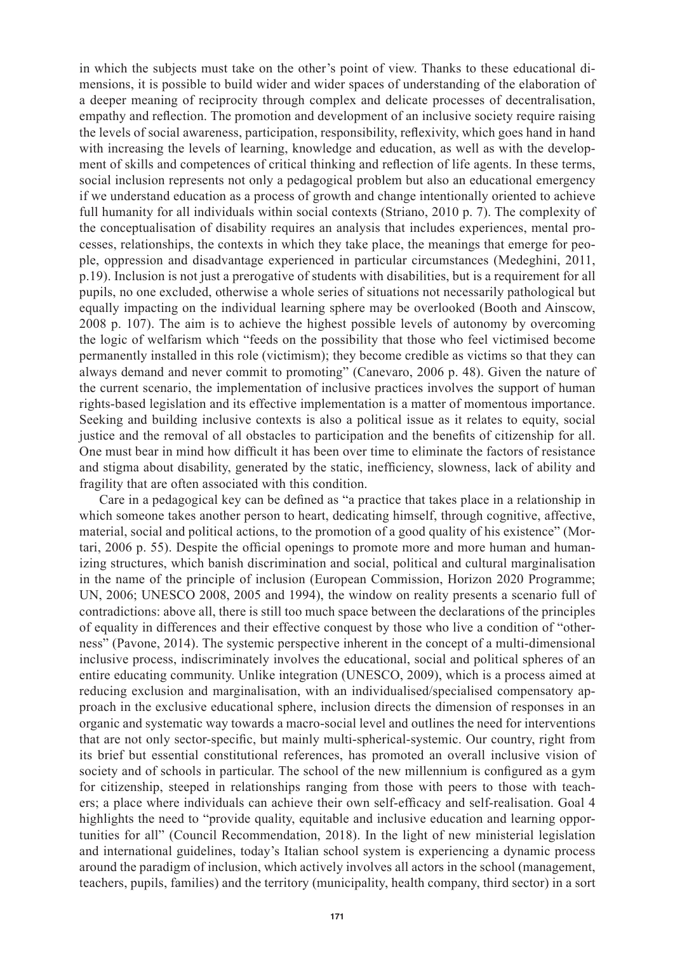in which the subjects must take on the other's point of view. Thanks to these educational dimensions, it is possible to build wider and wider spaces of understanding of the elaboration of a deeper meaning of reciprocity through complex and delicate processes of decentralisation, empathy and reflection. The promotion and development of an inclusive society require raising the levels of social awareness, participation, responsibility, reflexivity, which goes hand in hand with increasing the levels of learning, knowledge and education, as well as with the development of skills and competences of critical thinking and reflection of life agents. In these terms, social inclusion represents not only a pedagogical problem but also an educational emergency if we understand education as a process of growth and change intentionally oriented to achieve full humanity for all individuals within social contexts (Striano, 2010 p. 7). The complexity of the conceptualisation of disability requires an analysis that includes experiences, mental processes, relationships, the contexts in which they take place, the meanings that emerge for people, oppression and disadvantage experienced in particular circumstances (Medeghini, 2011, p.19). Inclusion is not just a prerogative of students with disabilities, but is a requirement for all pupils, no one excluded, otherwise a whole series of situations not necessarily pathological but equally impacting on the individual learning sphere may be overlooked (Booth and Ainscow, 2008 p. 107). The aim is to achieve the highest possible levels of autonomy by overcoming the logic of welfarism which "feeds on the possibility that those who feel victimised become permanently installed in this role (victimism); they become credible as victims so that they can always demand and never commit to promoting" (Canevaro, 2006 p. 48). Given the nature of the current scenario, the implementation of inclusive practices involves the support of human rights-based legislation and its effective implementation is a matter of momentous importance. Seeking and building inclusive contexts is also a political issue as it relates to equity, social justice and the removal of all obstacles to participation and the benefits of citizenship for all. One must bear in mind how difficult it has been over time to eliminate the factors of resistance and stigma about disability, generated by the static, inefficiency, slowness, lack of ability and fragility that are often associated with this condition.

Care in a pedagogical key can be defined as "a practice that takes place in a relationship in which someone takes another person to heart, dedicating himself, through cognitive, affective, material, social and political actions, to the promotion of a good quality of his existence" (Mortari, 2006 p. 55). Despite the official openings to promote more and more human and humanizing structures, which banish discrimination and social, political and cultural marginalisation in the name of the principle of inclusion (European Commission, Horizon 2020 Programme; UN, 2006; UNESCO 2008, 2005 and 1994), the window on reality presents a scenario full of contradictions: above all, there is still too much space between the declarations of the principles of equality in differences and their effective conquest by those who live a condition of "otherness" (Pavone, 2014). The systemic perspective inherent in the concept of a multi-dimensional inclusive process, indiscriminately involves the educational, social and political spheres of an entire educating community. Unlike integration (UNESCO, 2009), which is a process aimed at reducing exclusion and marginalisation, with an individualised/specialised compensatory approach in the exclusive educational sphere, inclusion directs the dimension of responses in an organic and systematic way towards a macro-social level and outlines the need for interventions that are not only sector-specific, but mainly multi-spherical-systemic. Our country, right from its brief but essential constitutional references, has promoted an overall inclusive vision of society and of schools in particular. The school of the new millennium is configured as a gym for citizenship, steeped in relationships ranging from those with peers to those with teachers; a place where individuals can achieve their own self-efficacy and self-realisation. Goal 4 highlights the need to "provide quality, equitable and inclusive education and learning opportunities for all" (Council Recommendation, 2018). In the light of new ministerial legislation and international guidelines, today's Italian school system is experiencing a dynamic process around the paradigm of inclusion, which actively involves all actors in the school (management, teachers, pupils, families) and the territory (municipality, health company, third sector) in a sort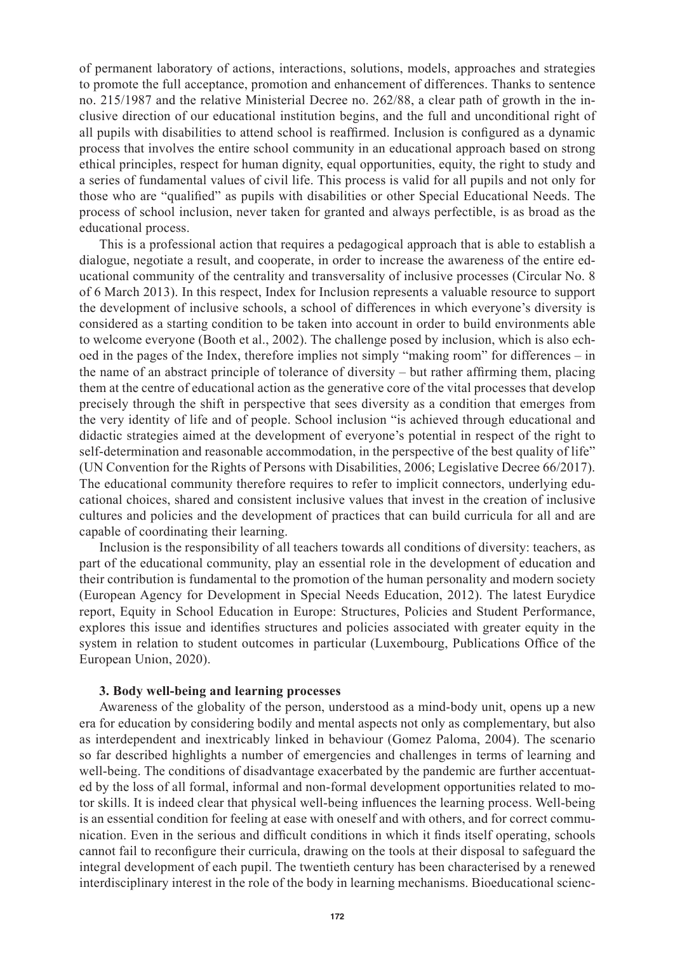of permanent laboratory of actions, interactions, solutions, models, approaches and strategies to promote the full acceptance, promotion and enhancement of differences. Thanks to sentence no. 215/1987 and the relative Ministerial Decree no. 262/88, a clear path of growth in the inclusive direction of our educational institution begins, and the full and unconditional right of all pupils with disabilities to attend school is reaffirmed. Inclusion is configured as a dynamic process that involves the entire school community in an educational approach based on strong ethical principles, respect for human dignity, equal opportunities, equity, the right to study and a series of fundamental values of civil life. This process is valid for all pupils and not only for those who are "qualified" as pupils with disabilities or other Special Educational Needs. The process of school inclusion, never taken for granted and always perfectible, is as broad as the educational process.

This is a professional action that requires a pedagogical approach that is able to establish a dialogue, negotiate a result, and cooperate, in order to increase the awareness of the entire educational community of the centrality and transversality of inclusive processes (Circular No. 8 of 6 March 2013). In this respect, Index for Inclusion represents a valuable resource to support the development of inclusive schools, a school of differences in which everyone's diversity is considered as a starting condition to be taken into account in order to build environments able to welcome everyone (Booth et al., 2002). The challenge posed by inclusion, which is also echoed in the pages of the Index, therefore implies not simply "making room" for differences – in the name of an abstract principle of tolerance of diversity – but rather affirming them, placing them at the centre of educational action as the generative core of the vital processes that develop precisely through the shift in perspective that sees diversity as a condition that emerges from the very identity of life and of people. School inclusion "is achieved through educational and didactic strategies aimed at the development of everyone's potential in respect of the right to self-determination and reasonable accommodation, in the perspective of the best quality of life" (UN Convention for the Rights of Persons with Disabilities, 2006; Legislative Decree 66/2017). The educational community therefore requires to refer to implicit connectors, underlying educational choices, shared and consistent inclusive values that invest in the creation of inclusive cultures and policies and the development of practices that can build curricula for all and are capable of coordinating their learning.

Inclusion is the responsibility of all teachers towards all conditions of diversity: teachers, as part of the educational community, play an essential role in the development of education and their contribution is fundamental to the promotion of the human personality and modern society (European Agency for Development in Special Needs Education, 2012). The latest Eurydice report, Equity in School Education in Europe: Structures, Policies and Student Performance, explores this issue and identifies structures and policies associated with greater equity in the system in relation to student outcomes in particular (Luxembourg, Publications Office of the European Union, 2020).

## **3. Body well-being and learning processes**

Awareness of the globality of the person, understood as a mind-body unit, opens up a new era for education by considering bodily and mental aspects not only as complementary, but also as interdependent and inextricably linked in behaviour (Gomez Paloma, 2004). The scenario so far described highlights a number of emergencies and challenges in terms of learning and well-being. The conditions of disadvantage exacerbated by the pandemic are further accentuated by the loss of all formal, informal and non-formal development opportunities related to motor skills. It is indeed clear that physical well-being influences the learning process. Well-being is an essential condition for feeling at ease with oneself and with others, and for correct communication. Even in the serious and difficult conditions in which it finds itself operating, schools cannot fail to reconfigure their curricula, drawing on the tools at their disposal to safeguard the integral development of each pupil. The twentieth century has been characterised by a renewed interdisciplinary interest in the role of the body in learning mechanisms. Bioeducational scienc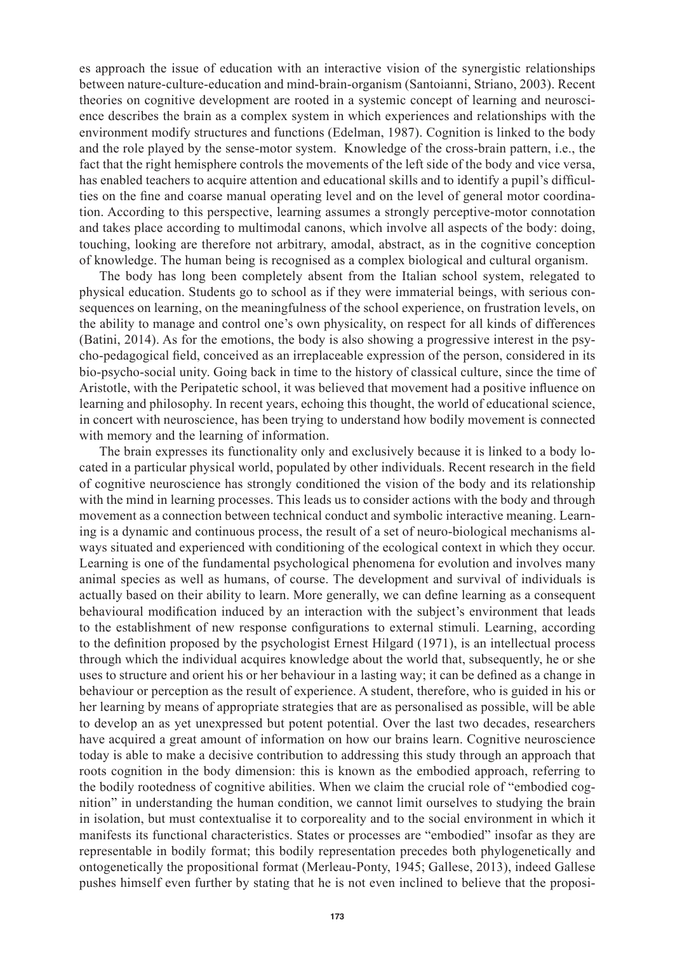es approach the issue of education with an interactive vision of the synergistic relationships between nature-culture-education and mind-brain-organism (Santoianni, Striano, 2003). Recent theories on cognitive development are rooted in a systemic concept of learning and neuroscience describes the brain as a complex system in which experiences and relationships with the environment modify structures and functions (Edelman, 1987). Cognition is linked to the body and the role played by the sense-motor system. Knowledge of the cross-brain pattern, i.e., the fact that the right hemisphere controls the movements of the left side of the body and vice versa, has enabled teachers to acquire attention and educational skills and to identify a pupil's difficulties on the fine and coarse manual operating level and on the level of general motor coordination. According to this perspective, learning assumes a strongly perceptive-motor connotation and takes place according to multimodal canons, which involve all aspects of the body: doing, touching, looking are therefore not arbitrary, amodal, abstract, as in the cognitive conception of knowledge. The human being is recognised as a complex biological and cultural organism.

The body has long been completely absent from the Italian school system, relegated to physical education. Students go to school as if they were immaterial beings, with serious consequences on learning, on the meaningfulness of the school experience, on frustration levels, on the ability to manage and control one's own physicality, on respect for all kinds of differences (Batini, 2014). As for the emotions, the body is also showing a progressive interest in the psycho-pedagogical field, conceived as an irreplaceable expression of the person, considered in its bio-psycho-social unity. Going back in time to the history of classical culture, since the time of Aristotle, with the Peripatetic school, it was believed that movement had a positive influence on learning and philosophy. In recent years, echoing this thought, the world of educational science, in concert with neuroscience, has been trying to understand how bodily movement is connected with memory and the learning of information.

The brain expresses its functionality only and exclusively because it is linked to a body located in a particular physical world, populated by other individuals. Recent research in the field of cognitive neuroscience has strongly conditioned the vision of the body and its relationship with the mind in learning processes. This leads us to consider actions with the body and through movement as a connection between technical conduct and symbolic interactive meaning. Learning is a dynamic and continuous process, the result of a set of neuro-biological mechanisms always situated and experienced with conditioning of the ecological context in which they occur. Learning is one of the fundamental psychological phenomena for evolution and involves many animal species as well as humans, of course. The development and survival of individuals is actually based on their ability to learn. More generally, we can define learning as a consequent behavioural modification induced by an interaction with the subject's environment that leads to the establishment of new response configurations to external stimuli. Learning, according to the definition proposed by the psychologist Ernest Hilgard (1971), is an intellectual process through which the individual acquires knowledge about the world that, subsequently, he or she uses to structure and orient his or her behaviour in a lasting way; it can be defined as a change in behaviour or perception as the result of experience. A student, therefore, who is guided in his or her learning by means of appropriate strategies that are as personalised as possible, will be able to develop an as yet unexpressed but potent potential. Over the last two decades, researchers have acquired a great amount of information on how our brains learn. Cognitive neuroscience today is able to make a decisive contribution to addressing this study through an approach that roots cognition in the body dimension: this is known as the embodied approach, referring to the bodily rootedness of cognitive abilities. When we claim the crucial role of "embodied cognition" in understanding the human condition, we cannot limit ourselves to studying the brain in isolation, but must contextualise it to corporeality and to the social environment in which it manifests its functional characteristics. States or processes are "embodied" insofar as they are representable in bodily format; this bodily representation precedes both phylogenetically and ontogenetically the propositional format (Merleau-Ponty, 1945; Gallese, 2013), indeed Gallese pushes himself even further by stating that he is not even inclined to believe that the proposi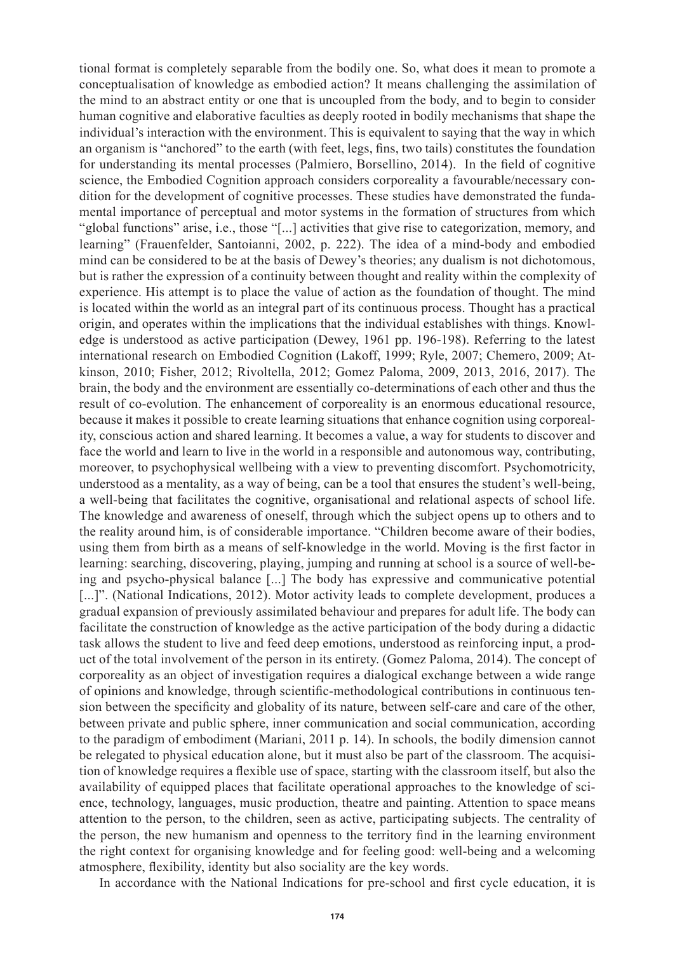tional format is completely separable from the bodily one. So, what does it mean to promote a conceptualisation of knowledge as embodied action? It means challenging the assimilation of the mind to an abstract entity or one that is uncoupled from the body, and to begin to consider human cognitive and elaborative faculties as deeply rooted in bodily mechanisms that shape the individual's interaction with the environment. This is equivalent to saying that the way in which an organism is "anchored" to the earth (with feet, legs, fins, two tails) constitutes the foundation for understanding its mental processes (Palmiero, Borsellino, 2014). In the field of cognitive science, the Embodied Cognition approach considers corporeality a favourable/necessary condition for the development of cognitive processes. These studies have demonstrated the fundamental importance of perceptual and motor systems in the formation of structures from which "global functions" arise, i.e., those "[...] activities that give rise to categorization, memory, and learning" (Frauenfelder, Santoianni, 2002, p. 222). The idea of a mind-body and embodied mind can be considered to be at the basis of Dewey's theories; any dualism is not dichotomous, but is rather the expression of a continuity between thought and reality within the complexity of experience. His attempt is to place the value of action as the foundation of thought. The mind is located within the world as an integral part of its continuous process. Thought has a practical origin, and operates within the implications that the individual establishes with things. Knowledge is understood as active participation (Dewey, 1961 pp. 196-198). Referring to the latest international research on Embodied Cognition (Lakoff, 1999; Ryle, 2007; Chemero, 2009; Atkinson, 2010; Fisher, 2012; Rivoltella, 2012; Gomez Paloma, 2009, 2013, 2016, 2017). The brain, the body and the environment are essentially co-determinations of each other and thus the result of co-evolution. The enhancement of corporeality is an enormous educational resource, because it makes it possible to create learning situations that enhance cognition using corporeality, conscious action and shared learning. It becomes a value, a way for students to discover and face the world and learn to live in the world in a responsible and autonomous way, contributing, moreover, to psychophysical wellbeing with a view to preventing discomfort. Psychomotricity, understood as a mentality, as a way of being, can be a tool that ensures the student's well-being, a well-being that facilitates the cognitive, organisational and relational aspects of school life. The knowledge and awareness of oneself, through which the subject opens up to others and to the reality around him, is of considerable importance. "Children become aware of their bodies, using them from birth as a means of self-knowledge in the world. Moving is the first factor in learning: searching, discovering, playing, jumping and running at school is a source of well-being and psycho-physical balance [...] The body has expressive and communicative potential [...]". (National Indications, 2012). Motor activity leads to complete development, produces a gradual expansion of previously assimilated behaviour and prepares for adult life. The body can facilitate the construction of knowledge as the active participation of the body during a didactic task allows the student to live and feed deep emotions, understood as reinforcing input, a product of the total involvement of the person in its entirety. (Gomez Paloma, 2014). The concept of corporeality as an object of investigation requires a dialogical exchange between a wide range of opinions and knowledge, through scientific-methodological contributions in continuous tension between the specificity and globality of its nature, between self-care and care of the other, between private and public sphere, inner communication and social communication, according to the paradigm of embodiment (Mariani, 2011 p. 14). In schools, the bodily dimension cannot be relegated to physical education alone, but it must also be part of the classroom. The acquisition of knowledge requires a flexible use of space, starting with the classroom itself, but also the availability of equipped places that facilitate operational approaches to the knowledge of science, technology, languages, music production, theatre and painting. Attention to space means attention to the person, to the children, seen as active, participating subjects. The centrality of the person, the new humanism and openness to the territory find in the learning environment the right context for organising knowledge and for feeling good: well-being and a welcoming atmosphere, flexibility, identity but also sociality are the key words.

In accordance with the National Indications for pre-school and first cycle education, it is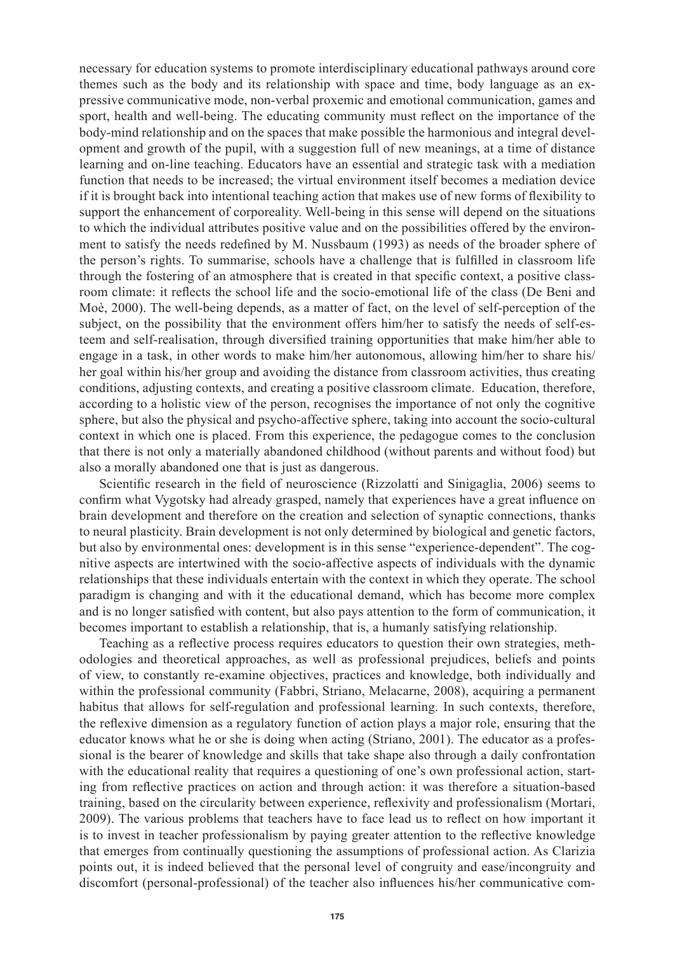necessary for education systems to promote interdisciplinary educational pathways around core themes such as the body and its relationship with space and time, body language as an expressive communicative mode, non-verbal proxemic and emotional communication, games and sport, health and well-being. The educating community must reflect on the importance of the body-mind relationship and on the spaces that make possible the harmonious and integral development and growth of the pupil, with a suggestion full of new meanings, at a time of distance learning and on-line teaching. Educators have an essential and strategic task with a mediation function that needs to be increased; the virtual environment itself becomes a mediation device if it is brought back into intentional teaching action that makes use of new forms of flexibility to support the enhancement of corporeality. Well-being in this sense will depend on the situations to which the individual attributes positive value and on the possibilities offered by the environment to satisfy the needs redefined by M. Nussbaum (1993) as needs of the broader sphere of the person's rights. To summarise, schools have a challenge that is fulfilled in classroom life through the fostering of an atmosphere that is created in that specific context, a positive classroom climate: it reflects the school life and the socio-emotional life of the class (De Beni and Moè, 2000). The well-being depends, as a matter of fact, on the level of self-perception of the subject, on the possibility that the environment offers him/her to satisfy the needs of self-esteem and self-realisation, through diversified training opportunities that make him/her able to engage in a task, in other words to make him/her autonomous, allowing him/her to share his/ her goal within his/her group and avoiding the distance from classroom activities, thus creating conditions, adjusting contexts, and creating a positive classroom climate. Education, therefore, according to a holistic view of the person, recognises the importance of not only the cognitive sphere, but also the physical and psycho-affective sphere, taking into account the socio-cultural context in which one is placed. From this experience, the pedagogue comes to the conclusion that there is not only a materially abandoned childhood (without parents and without food) but also a morally abandoned one that is just as dangerous.

Scientific research in the field of neuroscience (Rizzolatti and Sinigaglia, 2006) seems to confirm what Vygotsky had already grasped, namely that experiences have a great influence on brain development and therefore on the creation and selection of synaptic connections, thanks to neural plasticity. Brain development is not only determined by biological and genetic factors, but also by environmental ones: development is in this sense "experience-dependent". The cognitive aspects are intertwined with the socio-affective aspects of individuals with the dynamic relationships that these individuals entertain with the context in which they operate. The school paradigm is changing and with it the educational demand, which has become more complex and is no longer satisfied with content, but also pays attention to the form of communication, it becomes important to establish a relationship, that is, a humanly satisfying relationship.

Teaching as a reflective process requires educators to question their own strategies, methodologies and theoretical approaches, as well as professional prejudices, beliefs and points of view, to constantly re-examine objectives, practices and knowledge, both individually and within the professional community (Fabbri, Striano, Melacarne, 2008), acquiring a permanent habitus that allows for self-regulation and professional learning. In such contexts, therefore, the reflexive dimension as a regulatory function of action plays a major role, ensuring that the educator knows what he or she is doing when acting (Striano, 2001). The educator as a professional is the bearer of knowledge and skills that take shape also through a daily confrontation with the educational reality that requires a questioning of one's own professional action, starting from reflective practices on action and through action: it was therefore a situation-based training, based on the circularity between experience, reflexivity and professionalism (Mortari, 2009). The various problems that teachers have to face lead us to reflect on how important it is to invest in teacher professionalism by paying greater attention to the reflective knowledge that emerges from continually questioning the assumptions of professional action. As Clarizia points out, it is indeed believed that the personal level of congruity and ease/incongruity and discomfort (personal-professional) of the teacher also influences his/her communicative com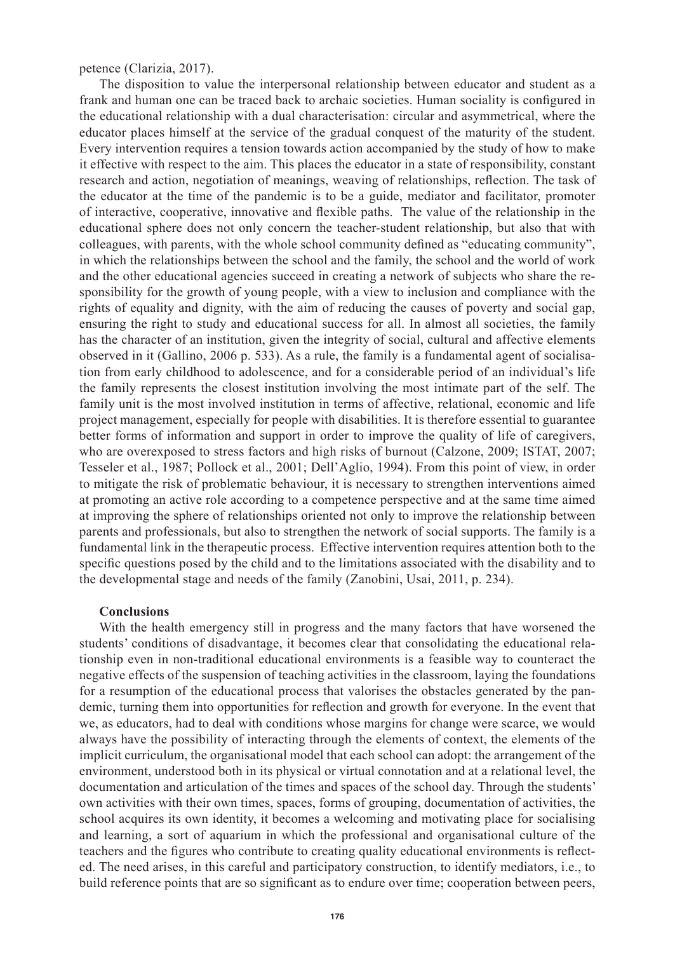petence (Clarizia, 2017).

The disposition to value the interpersonal relationship between educator and student as a frank and human one can be traced back to archaic societies. Human sociality is configured in the educational relationship with a dual characterisation: circular and asymmetrical, where the educator places himself at the service of the gradual conquest of the maturity of the student. Every intervention requires a tension towards action accompanied by the study of how to make it effective with respect to the aim. This places the educator in a state of responsibility, constant research and action, negotiation of meanings, weaving of relationships, reflection. The task of the educator at the time of the pandemic is to be a guide, mediator and facilitator, promoter of interactive, cooperative, innovative and flexible paths. The value of the relationship in the educational sphere does not only concern the teacher-student relationship, but also that with colleagues, with parents, with the whole school community defined as "educating community", in which the relationships between the school and the family, the school and the world of work and the other educational agencies succeed in creating a network of subjects who share the responsibility for the growth of young people, with a view to inclusion and compliance with the rights of equality and dignity, with the aim of reducing the causes of poverty and social gap, ensuring the right to study and educational success for all. In almost all societies, the family has the character of an institution, given the integrity of social, cultural and affective elements observed in it (Gallino, 2006 p. 533). As a rule, the family is a fundamental agent of socialisation from early childhood to adolescence, and for a considerable period of an individual's life the family represents the closest institution involving the most intimate part of the self. The family unit is the most involved institution in terms of affective, relational, economic and life project management, especially for people with disabilities. It is therefore essential to guarantee better forms of information and support in order to improve the quality of life of caregivers, who are overexposed to stress factors and high risks of burnout (Calzone, 2009; ISTAT, 2007; Tesseler et al., 1987; Pollock et al., 2001; Dell'Aglio, 1994). From this point of view, in order to mitigate the risk of problematic behaviour, it is necessary to strengthen interventions aimed at promoting an active role according to a competence perspective and at the same time aimed at improving the sphere of relationships oriented not only to improve the relationship between parents and professionals, but also to strengthen the network of social supports. The family is a fundamental link in the therapeutic process. Effective intervention requires attention both to the specific questions posed by the child and to the limitations associated with the disability and to the developmental stage and needs of the family (Zanobini, Usai, 2011, p. 234).

#### **Conclusions**

With the health emergency still in progress and the many factors that have worsened the students' conditions of disadvantage, it becomes clear that consolidating the educational relationship even in non-traditional educational environments is a feasible way to counteract the negative effects of the suspension of teaching activities in the classroom, laying the foundations for a resumption of the educational process that valorises the obstacles generated by the pandemic, turning them into opportunities for reflection and growth for everyone. In the event that we, as educators, had to deal with conditions whose margins for change were scarce, we would always have the possibility of interacting through the elements of context, the elements of the implicit curriculum, the organisational model that each school can adopt: the arrangement of the environment, understood both in its physical or virtual connotation and at a relational level, the documentation and articulation of the times and spaces of the school day. Through the students' own activities with their own times, spaces, forms of grouping, documentation of activities, the school acquires its own identity, it becomes a welcoming and motivating place for socialising and learning, a sort of aquarium in which the professional and organisational culture of the teachers and the figures who contribute to creating quality educational environments is reflected. The need arises, in this careful and participatory construction, to identify mediators, i.e., to build reference points that are so significant as to endure over time; cooperation between peers,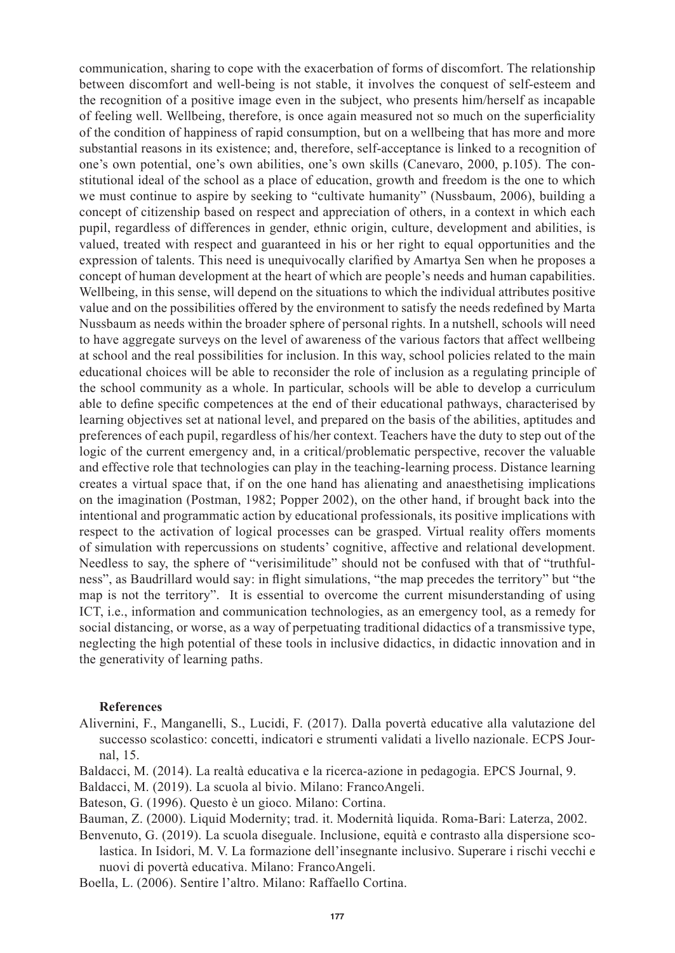communication, sharing to cope with the exacerbation of forms of discomfort. The relationship between discomfort and well-being is not stable, it involves the conquest of self-esteem and the recognition of a positive image even in the subject, who presents him/herself as incapable of feeling well. Wellbeing, therefore, is once again measured not so much on the superficiality of the condition of happiness of rapid consumption, but on a wellbeing that has more and more substantial reasons in its existence; and, therefore, self-acceptance is linked to a recognition of one's own potential, one's own abilities, one's own skills (Canevaro, 2000, p.105). The constitutional ideal of the school as a place of education, growth and freedom is the one to which we must continue to aspire by seeking to "cultivate humanity" (Nussbaum, 2006), building a concept of citizenship based on respect and appreciation of others, in a context in which each pupil, regardless of differences in gender, ethnic origin, culture, development and abilities, is valued, treated with respect and guaranteed in his or her right to equal opportunities and the expression of talents. This need is unequivocally clarified by Amartya Sen when he proposes a concept of human development at the heart of which are people's needs and human capabilities. Wellbeing, in this sense, will depend on the situations to which the individual attributes positive value and on the possibilities offered by the environment to satisfy the needs redefined by Marta Nussbaum as needs within the broader sphere of personal rights. In a nutshell, schools will need to have aggregate surveys on the level of awareness of the various factors that affect wellbeing at school and the real possibilities for inclusion. In this way, school policies related to the main educational choices will be able to reconsider the role of inclusion as a regulating principle of the school community as a whole. In particular, schools will be able to develop a curriculum able to define specific competences at the end of their educational pathways, characterised by learning objectives set at national level, and prepared on the basis of the abilities, aptitudes and preferences of each pupil, regardless of his/her context. Teachers have the duty to step out of the logic of the current emergency and, in a critical/problematic perspective, recover the valuable and effective role that technologies can play in the teaching-learning process. Distance learning creates a virtual space that, if on the one hand has alienating and anaesthetising implications on the imagination (Postman, 1982; Popper 2002), on the other hand, if brought back into the intentional and programmatic action by educational professionals, its positive implications with respect to the activation of logical processes can be grasped. Virtual reality offers moments of simulation with repercussions on students' cognitive, affective and relational development. Needless to say, the sphere of "verisimilitude" should not be confused with that of "truthfulness", as Baudrillard would say: in flight simulations, "the map precedes the territory" but "the map is not the territory". It is essential to overcome the current misunderstanding of using ICT, i.e., information and communication technologies, as an emergency tool, as a remedy for social distancing, or worse, as a way of perpetuating traditional didactics of a transmissive type, neglecting the high potential of these tools in inclusive didactics, in didactic innovation and in the generativity of learning paths.

### **References**

- Alivernini, F., Manganelli, S., Lucidi, F. (2017). Dalla povertà educative alla valutazione del successo scolastico: concetti, indicatori e strumenti validati a livello nazionale. ECPS Journal, 15.
- Baldacci, M. (2014). La realtà educativa e la ricerca-azione in pedagogia. EPCS Journal, 9.
- Baldacci, M. (2019). La scuola al bivio. Milano: FrancoAngeli.
- Bateson, G. (1996). Questo è un gioco. Milano: Cortina.

Bauman, Z. (2000). Liquid Modernity; trad. it. Modernità liquida. Roma-Bari: Laterza, 2002.

- Benvenuto, G. (2019). La scuola diseguale. Inclusione, equità e contrasto alla dispersione scolastica. In Isidori, M. V. La formazione dell'insegnante inclusivo. Superare i rischi vecchi e nuovi di povertà educativa. Milano: FrancoAngeli.
- Boella, L. (2006). Sentire l'altro. Milano: Raffaello Cortina.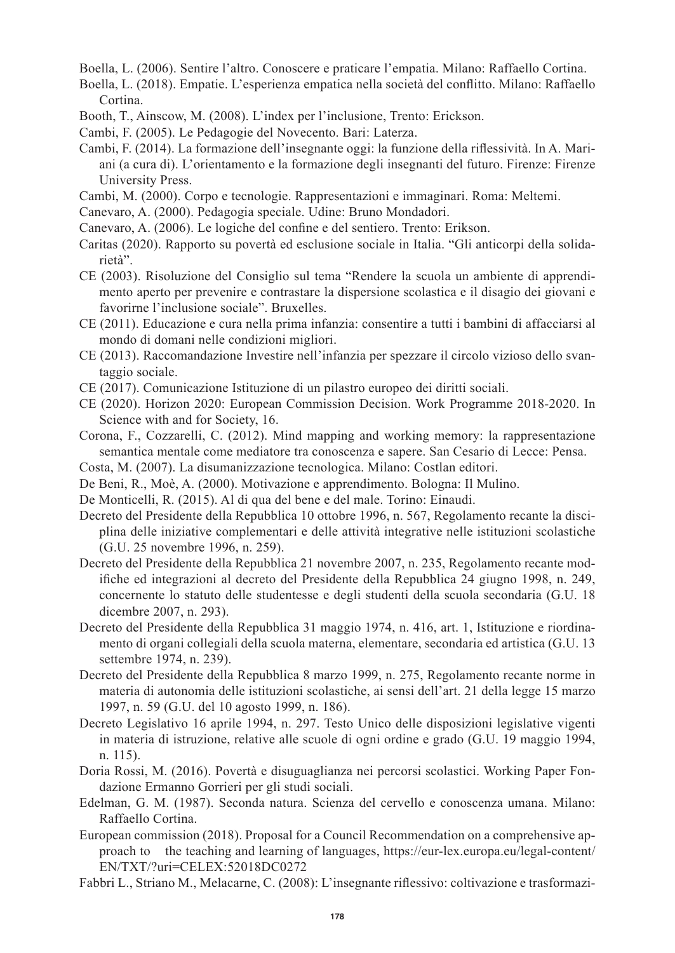Boella, L. (2006). Sentire l'altro. Conoscere e praticare l'empatia. Milano: Raffaello Cortina.

Boella, L. (2018). Empatie. L'esperienza empatica nella società del conflitto. Milano: Raffaello Cortina.

- Booth, T., Ainscow, M. (2008). L'index per l'inclusione, Trento: Erickson.
- Cambi, F. (2005). Le Pedagogie del Novecento. Bari: Laterza.

Cambi, F. (2014). La formazione dell'insegnante oggi: la funzione della riflessività. In A. Mariani (a cura di). L'orientamento e la formazione degli insegnanti del futuro. Firenze: Firenze University Press.

- Cambi, M. (2000). Corpo e tecnologie. Rappresentazioni e immaginari. Roma: Meltemi.
- Canevaro, A. (2000). Pedagogia speciale. Udine: Bruno Mondadori.
- Canevaro, A. (2006). Le logiche del confine e del sentiero. Trento: Erikson.
- Caritas (2020). Rapporto su povertà ed esclusione sociale in Italia. "Gli anticorpi della solidarietà".
- CE (2003). Risoluzione del Consiglio sul tema "Rendere la scuola un ambiente di apprendimento aperto per prevenire e contrastare la dispersione scolastica e il disagio dei giovani e favorirne l'inclusione sociale". Bruxelles.
- CE (2011). Educazione e cura nella prima infanzia: consentire a tutti i bambini di affacciarsi al mondo di domani nelle condizioni migliori.
- CE (2013). Raccomandazione Investire nell'infanzia per spezzare il circolo vizioso dello svantaggio sociale.
- CE (2017). Comunicazione Istituzione di un pilastro europeo dei diritti sociali.
- CE (2020). Horizon 2020: European Commission Decision. Work Programme 2018-2020. In Science with and for Society, 16.
- Corona, F., Cozzarelli, C. (2012). Mind mapping and working memory: la rappresentazione semantica mentale come mediatore tra conoscenza e sapere. San Cesario di Lecce: Pensa.
- Costa, M. (2007). La disumanizzazione tecnologica. Milano: Costlan editori.
- De Beni, R., Moè, A. (2000). Motivazione e apprendimento. Bologna: Il Mulino.
- De Monticelli, R. (2015). Al di qua del bene e del male. Torino: Einaudi.
- Decreto del Presidente della Repubblica 10 ottobre 1996, n. 567, Regolamento recante la disciplina delle iniziative complementari e delle attività integrative nelle istituzioni scolastiche (G.U. 25 novembre 1996, n. 259).
- Decreto del Presidente della Repubblica 21 novembre 2007, n. 235, Regolamento recante modifiche ed integrazioni al decreto del Presidente della Repubblica 24 giugno 1998, n. 249, concernente lo statuto delle studentesse e degli studenti della scuola secondaria (G.U. 18 dicembre 2007, n. 293).
- Decreto del Presidente della Repubblica 31 maggio 1974, n. 416, art. 1, Istituzione e riordinamento di organi collegiali della scuola materna, elementare, secondaria ed artistica (G.U. 13 settembre 1974, n. 239).
- Decreto del Presidente della Repubblica 8 marzo 1999, n. 275, Regolamento recante norme in materia di autonomia delle istituzioni scolastiche, ai sensi dell'art. 21 della legge 15 marzo 1997, n. 59 (G.U. del 10 agosto 1999, n. 186).
- Decreto Legislativo 16 aprile 1994, n. 297. Testo Unico delle disposizioni legislative vigenti in materia di istruzione, relative alle scuole di ogni ordine e grado (G.U. 19 maggio 1994, n. 115).
- Doria Rossi, M. (2016). Povertà e disuguaglianza nei percorsi scolastici. Working Paper Fondazione Ermanno Gorrieri per gli studi sociali.
- Edelman, G. M. (1987). Seconda natura. Scienza del cervello e conoscenza umana. Milano: Raffaello Cortina.
- European commission (2018). Proposal for a Council Recommendation on a comprehensive approach to the teaching and learning of languages, https://eur-lex.europa.eu/legal-content/ EN/TXT/?uri=CELEX:52018DC0272
- Fabbri L., Striano M., Melacarne, C. (2008): L'insegnante riflessivo: coltivazione e trasformazi-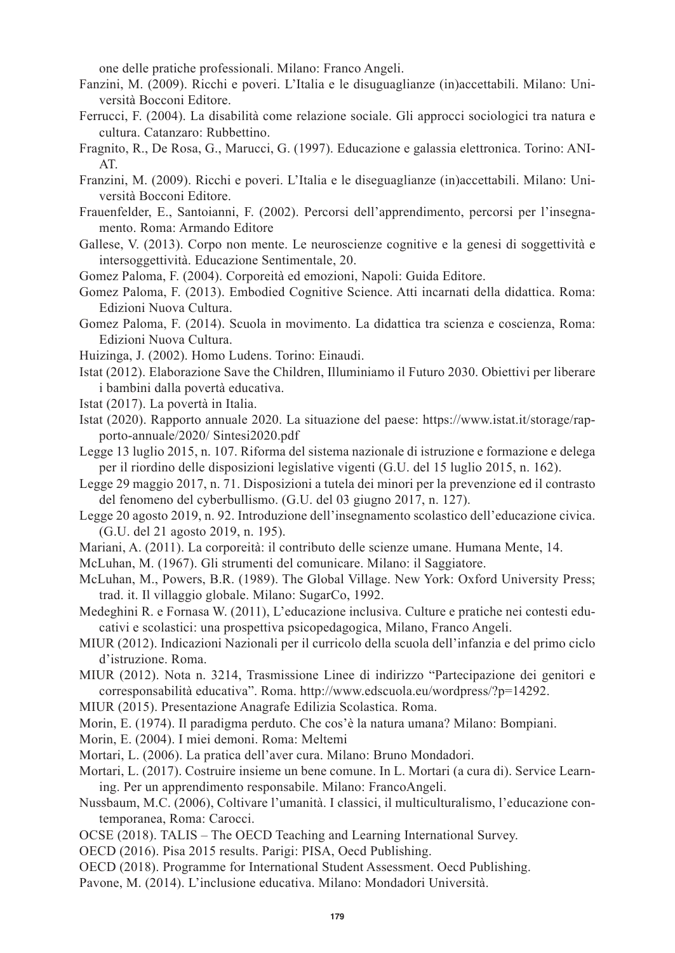one delle pratiche professionali. Milano: Franco Angeli.

- Fanzini, M. (2009). Ricchi e poveri. L'Italia e le disuguaglianze (in)accettabili. Milano: Università Bocconi Editore.
- Ferrucci, F. (2004). La disabilità come relazione sociale. Gli approcci sociologici tra natura e cultura. Catanzaro: Rubbettino.
- Fragnito, R., De Rosa, G., Marucci, G. (1997). Educazione e galassia elettronica. Torino: ANI-AT.
- Franzini, M. (2009). Ricchi e poveri. L'Italia e le diseguaglianze (in)accettabili. Milano: Università Bocconi Editore.
- Frauenfelder, E., Santoianni, F. (2002). Percorsi dell'apprendimento, percorsi per l'insegnamento. Roma: Armando Editore
- Gallese, V. (2013). Corpo non mente. Le neuroscienze cognitive e la genesi di soggettività e intersoggettività. Educazione Sentimentale, 20.
- Gomez Paloma, F. (2004). Corporeità ed emozioni, Napoli: Guida Editore.
- Gomez Paloma, F. (2013). Embodied Cognitive Science. Atti incarnati della didattica. Roma: Edizioni Nuova Cultura.
- Gomez Paloma, F. (2014). Scuola in movimento. La didattica tra scienza e coscienza, Roma: Edizioni Nuova Cultura.
- Huizinga, J. (2002). Homo Ludens. Torino: Einaudi.
- Istat (2012). Elaborazione Save the Children, Illuminiamo il Futuro 2030. Obiettivi per liberare i bambini dalla povertà educativa.
- Istat (2017). La povertà in Italia.
- Istat (2020). Rapporto annuale 2020. La situazione del paese: https://www.istat.it/storage/rapporto-annuale/2020/ Sintesi2020.pdf
- Legge 13 luglio 2015, n. 107. Riforma del sistema nazionale di istruzione e formazione e delega per il riordino delle disposizioni legislative vigenti (G.U. del 15 luglio 2015, n. 162).
- Legge 29 maggio 2017, n. 71. Disposizioni a tutela dei minori per la prevenzione ed il contrasto del fenomeno del cyberbullismo. (G.U. del 03 giugno 2017, n. 127).
- Legge 20 agosto 2019, n. 92. Introduzione dell'insegnamento scolastico dell'educazione civica. (G.U. del 21 agosto 2019, n. 195).
- Mariani, A. (2011). La corporeità: il contributo delle scienze umane. Humana Mente, 14.
- McLuhan, M. (1967). Gli strumenti del comunicare. Milano: il Saggiatore.
- McLuhan, M., Powers, B.R. (1989). The Global Village. New York: Oxford University Press; trad. it. Il villaggio globale. Milano: SugarCo, 1992.
- Medeghini R. e Fornasa W. (2011), L'educazione inclusiva. Culture e pratiche nei contesti educativi e scolastici: una prospettiva psicopedagogica, Milano, Franco Angeli.
- MIUR (2012). Indicazioni Nazionali per il curricolo della scuola dell'infanzia e del primo ciclo d'istruzione. Roma.
- MIUR (2012). Nota n. 3214, Trasmissione Linee di indirizzo "Partecipazione dei genitori e corresponsabilità educativa". Roma. http://www.edscuola.eu/wordpress/?p=14292.
- MIUR (2015). Presentazione Anagrafe Edilizia Scolastica. Roma.
- Morin, E. (1974). Il paradigma perduto. Che cos'è la natura umana? Milano: Bompiani.
- Morin, E. (2004). I miei demoni. Roma: Meltemi
- Mortari, L. (2006). La pratica dell'aver cura. Milano: Bruno Mondadori.
- Mortari, L. (2017). Costruire insieme un bene comune. In L. Mortari (a cura di). Service Learning. Per un apprendimento responsabile. Milano: FrancoAngeli.
- Nussbaum, M.C. (2006), Coltivare l'umanità. I classici, il multiculturalismo, l'educazione contemporanea, Roma: Carocci.
- OCSE (2018). TALIS The OECD Teaching and Learning International Survey.
- OECD (2016). Pisa 2015 results. Parigi: PISA, Oecd Publishing.
- OECD (2018). Programme for International Student Assessment. Oecd Publishing.
- Pavone, M. (2014). L'inclusione educativa. Milano: Mondadori Università.